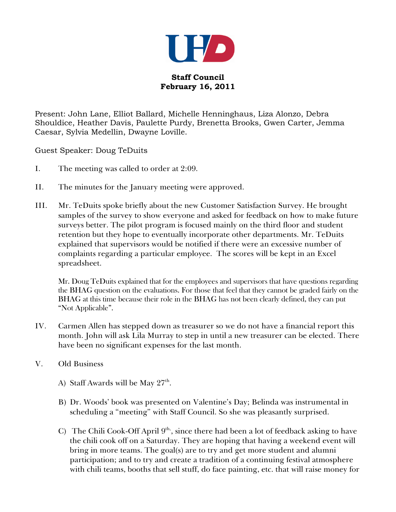

**Staff Council February 16, 2011**

Present: John Lane, Elliot Ballard, Michelle Henninghaus, Liza Alonzo, Debra Shouldice, Heather Davis, Paulette Purdy, Brenetta Brooks, Gwen Carter, Jemma Caesar, Sylvia Medellin, Dwayne Loville.

Guest Speaker: Doug TeDuits

- I. The meeting was called to order at 2:09.
- II. The minutes for the January meeting were approved.
- III. Mr. TeDuits spoke briefly about the new Customer Satisfaction Survey. He brought samples of the survey to show everyone and asked for feedback on how to make future surveys better. The pilot program is focused mainly on the third floor and student retention but they hope to eventually incorporate other departments. Mr. TeDuits explained that supervisors would be notified if there were an excessive number of complaints regarding a particular employee. The scores will be kept in an Excel spreadsheet.

Mr. Doug TeDuits explained that for the employees and supervisors that have questions regarding the BHAG question on the evaluations. For those that feel that they cannot be graded fairly on the BHAG at this time because their role in the BHAG has not been clearly defined, they can put "Not Applicable".

- IV. Carmen Allen has stepped down as treasurer so we do not have a financial report this month. John will ask Lila Murray to step in until a new treasurer can be elected. There have been no significant expenses for the last month.
- V. Old Business
	- A) Staff Awards will be May  $27<sup>th</sup>$ .
	- B) Dr. Woods' book was presented on Valentine's Day; Belinda was instrumental in scheduling a "meeting" with Staff Council. So she was pleasantly surprised.
	- C) The Chili Cook-Off April  $9<sup>th</sup>$ , since there had been a lot of feedback asking to have the chili cook off on a Saturday. They are hoping that having a weekend event will bring in more teams. The goal(s) are to try and get more student and alumni participation; and to try and create a tradition of a continuing festival atmosphere with chili teams, booths that sell stuff, do face painting, etc. that will raise money for